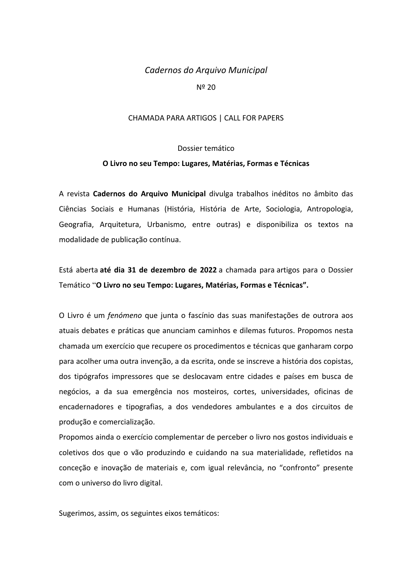# *Cadernos do Arquivo Municipal*

Nº 20

## CHAMADA PARA ARTIGOS | CALL FOR PAPERS

#### Dossier temático

## **O Livro no seu Tempo: Lugares, Matérias, Formas e Técnicas**

A revista **Cadernos do Arquivo Municipal** divulga trabalhos inéditos no âmbito das Ciências Sociais e Humanas (História, História de Arte, Sociologia, Antropologia, Geografia, Arquitetura, Urbanismo, entre outras) e disponibiliza os textos na modalidade de publicação contínua.

Está aberta até dia 31 de dezembro de 2022 a chamada para artigos para o Dossier Temático "O Livro no seu Tempo: Lugares, Matérias, Formas e Técnicas".

O Livro é um *fenómeno* que junta o fascínio das suas manifestações de outrora aos atuais debates e práticas que anunciam caminhos e dilemas futuros. Propomos nesta chamada um exercício que recupere os procedimentos e técnicas que ganharam corpo para acolher uma outra invenção, a da escrita, onde se inscreve a história dos copistas, dos tipógrafos impressores que se deslocavam entre cidades e países em busca de negócios, a da sua emergência nos mosteiros, cortes, universidades, oficinas de encadernadores e tipografias, a dos vendedores ambulantes e a dos circuitos de produção e comercialização.

Propomos ainda o exercício complementar de perceber o livro nos gostos individuais e coletivos dos que o vão produzindo e cuidando na sua materialidade, refletidos na conceção e inovação de materiais e, com igual relevância, no "confronto" presente com o universo do livro digital.

Sugerimos, assim, os seguintes eixos temáticos: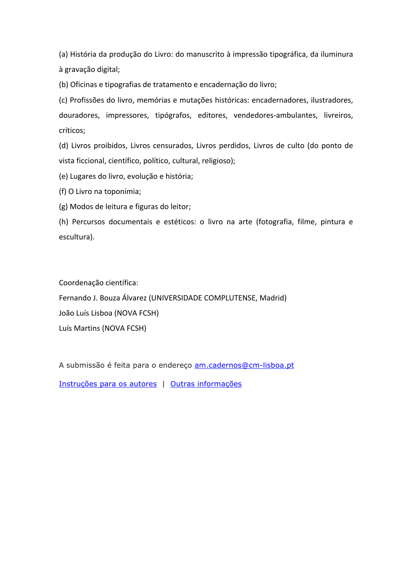(a) História da produção do Livro: do manuscrito à impressão tipográfica, da iluminura à gravação digital;

(b) Oficinas e tipografias de tratamento e encadernação do livro;

(c) Profissões do livro, memórias e mutações históricas: encadernadores, ilustradores, douradores, impressores, tipógrafos, editores, vendedores-ambulantes, livreiros, críticos;

(d) Livros proibidos, Livros censurados, Livros perdidos, Livros de culto (do ponto de vista ficcional, científico, político, cultural, religioso);

(e) Lugares do livro, evolução e história;

(f) O Livro na toponímia;

(g) Modos de leitura e figuras do leitor;

(h) Percursos documentais e estéticos: o livro na arte (fotografia, filme, pintura e escultura).

Coordenação científica:

Fernando J. Bouza Álvarez (UNIVERSIDADE COMPLUTENSE, Madrid)

João Luís Lisboa (NOVA FCSH)

Luís Martins (NOVA FCSH)

A submissão é feita para o endereço am.cadernos@cm-lisboa.pt

Instruções para os autores | Outras informações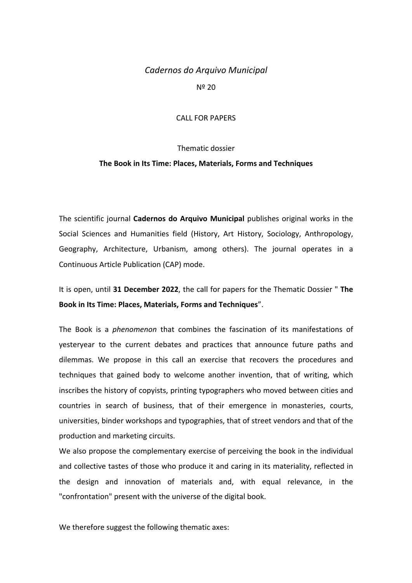# *Cadernos do Arquivo Municipal*

Nº 20

## **CALL FOR PAPERS**

## Thematic dossier

## **The Book in Its Time: Places, Materials, Forms and Techniques**

The scientific journal **Cadernos do Arquivo Municipal** publishes original works in the Social Sciences and Humanities field (History, Art History, Sociology, Anthropology, Geography, Architecture, Urbanism, among others). The journal operates in a Continuous Article Publication (CAP) mode.

It is open, until 31 December 2022, the call for papers for the Thematic Dossier " The **Book in Its Time: Places, Materials, Forms and Techniques".** 

The Book is a *phenomenon* that combines the fascination of its manifestations of yesteryear to the current debates and practices that announce future paths and dilemmas. We propose in this call an exercise that recovers the procedures and techniques that gained body to welcome another invention, that of writing, which inscribes the history of copyists, printing typographers who moved between cities and countries in search of business, that of their emergence in monasteries, courts, universities, binder workshops and typographies, that of street vendors and that of the production and marketing circuits.

We also propose the complementary exercise of perceiving the book in the individual and collective tastes of those who produce it and caring in its materiality, reflected in the design and innovation of materials and, with equal relevance, in the "confrontation" present with the universe of the digital book.

We therefore suggest the following thematic axes: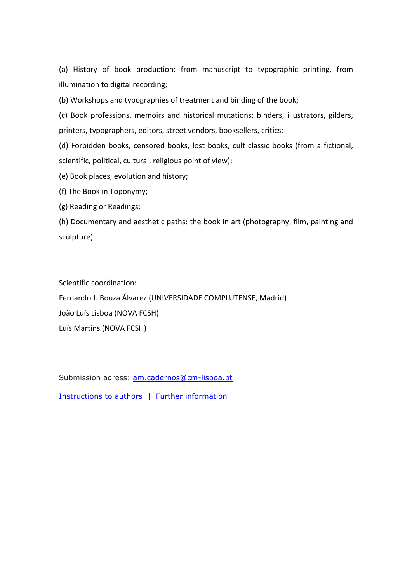(a) History of book production: from manuscript to typographic printing, from illumination to digital recording;

(b) Workshops and typographies of treatment and binding of the book;

(c) Book professions, memoirs and historical mutations: binders, illustrators, gilders, printers, typographers, editors, street vendors, booksellers, critics;

(d) Forbidden books, censored books, lost books, cult classic books (from a fictional, scientific, political, cultural, religious point of view);

(e) Book places, evolution and history;

(f) The Book in Toponymy;

(g) Reading or Readings;

(h) Documentary and aesthetic paths: the book in art (photography, film, painting and sculpture).

Scientific coordination:

Fernando J. Bouza Álvarez (UNIVERSIDADE COMPLUTENSE, Madrid) João Luís Lisboa (NOVA FCSH) Luís Martins (NOVA FCSH)

Submission adress: am.cadernos@cm-lisboa.pt

Instructions to authors | Further information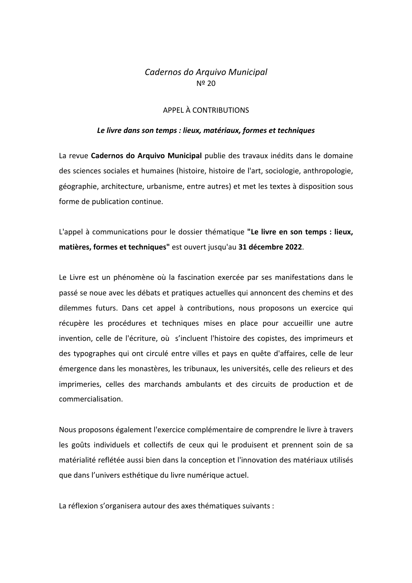# *Cadernos do Arquivo Municipal* Nº 20

## APPEL À CONTRIBUTIONS

## Le livre dans son *temps* : lieux, matériaux, formes et techniques

La revue **Cadernos do Arquivo Municipal** publie des travaux inédits dans le domaine des sciences sociales et humaines (histoire, histoire de l'art, sociologie, anthropologie, géographie, architecture, urbanisme, entre autres) et met les textes à disposition sous forme de publication continue.

L'appel à communications pour le dossier thématique "Le livre en son temps : lieux, **matières, formes et techniques"** est ouvert jusqu'au 31 décembre 2022.

Le Livre est un phénomène où la fascination exercée par ses manifestations dans le passé se noue avec les débats et pratiques actuelles qui annoncent des chemins et des dilemmes futurs. Dans cet appel à contributions, nous proposons un exercice qui récupère les procédures et techniques mises en place pour accueillir une autre invention, celle de l'écriture, où s'incluent l'histoire des copistes, des imprimeurs et des typographes qui ont circulé entre villes et pays en quête d'affaires, celle de leur émergence dans les monastères, les tribunaux, les universités, celle des relieurs et des imprimeries, celles des marchands ambulants et des circuits de production et de commercialisation.

Nous proposons également l'exercice complémentaire de comprendre le livre à travers les goûts individuels et collectifs de ceux qui le produisent et prennent soin de sa matérialité reflétée aussi bien dans la conception et l'innovation des matériaux utilisés que dans l'univers esthétique du livre numérique actuel.

La réflexion s'organisera autour des axes thématiques suivants :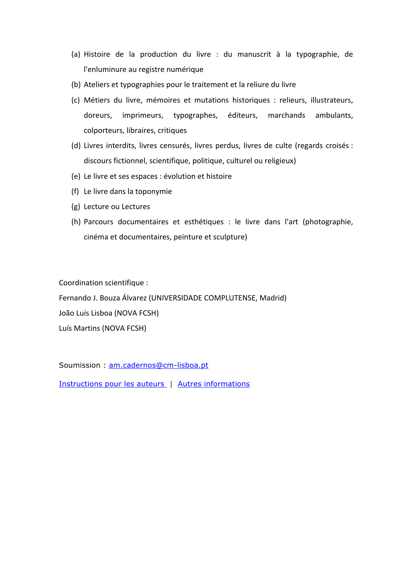- (a) Histoire de la production du livre : du manuscrit à la typographie, de l'enluminure au registre numérique
- (b) Ateliers et typographies pour le traitement et la reliure du livre
- (c) Métiers du livre, mémoires et mutations historiques : relieurs, illustrateurs, doreurs, imprimeurs, typographes, éditeurs, marchands ambulants, colporteurs, libraires, critiques
- (d) Livres interdits, livres censurés, livres perdus, livres de culte (regards croisés : discours fictionnel, scientifique, politique, culturel ou religieux)
- (e) Le livre et ses espaces : évolution et histoire
- (f) Le livre dans la toponymie
- (g) Lecture ou Lectures
- (h) Parcours documentaires et esthétiques : le livre dans l'art (photographie, cinéma et documentaires, peinture et sculpture)

Coordination scientifique :

Fernando J. Bouza Álvarez (UNIVERSIDADE COMPLUTENSE, Madrid) João Luís Lisboa (NOVA FCSH) Luís Martins (NOVA FCSH)

Soumission : am.cadernos@cm-lisboa.pt

Instructions pour les auteurs | Autres informations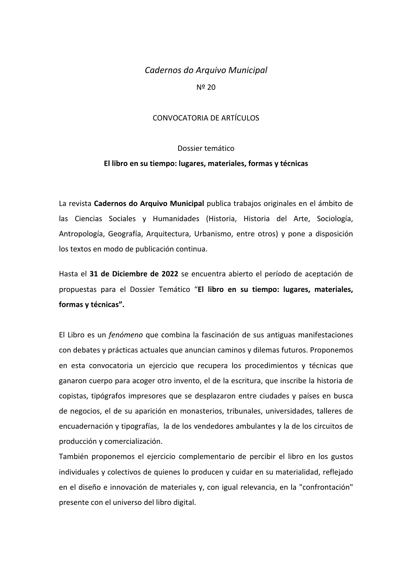# *Cadernos do Arquivo Municipal*

Nº 20

# CONVOCATORIA DE ARTÍCULOS

## Dossier temático

## El libro en su tiempo: lugares, materiales, formas y técnicas

La revista **Cadernos do Arquivo Municipal** publica trabajos originales en el ámbito de las Ciencias Sociales y Humanidades (Historia, Historia del Arte, Sociología, Antropología, Geografía, Arquitectura, Urbanismo, entre otros) y pone a disposición los textos en modo de publicación continua.

Hasta el 31 de Diciembre de 2022 se encuentra abierto el período de aceptación de propuestas para el Dossier Temático "El libro en su tiempo: lugares, materiales, **formas y técnicas".**

El Libro es un *fenómeno* que combina la fascinación de sus antiguas manifestaciones con debates y prácticas actuales que anuncian caminos y dilemas futuros. Proponemos en esta convocatoria un ejercicio que recupera los procedimientos y técnicas que ganaron cuerpo para acoger otro invento, el de la escritura, que inscribe la historia de copistas, tipógrafos impresores que se desplazaron entre ciudades y países en busca de negocios, el de su aparición en monasterios, tribunales, universidades, talleres de encuadernación y tipografías, la de los vendedores ambulantes y la de los circuitos de producción y comercialización.

También proponemos el ejercicio complementario de percibir el libro en los gustos individuales y colectivos de quienes lo producen y cuidar en su materialidad, reflejado en el diseño e innovación de materiales y, con igual relevancia, en la "confrontación" presente con el universo del libro digital.